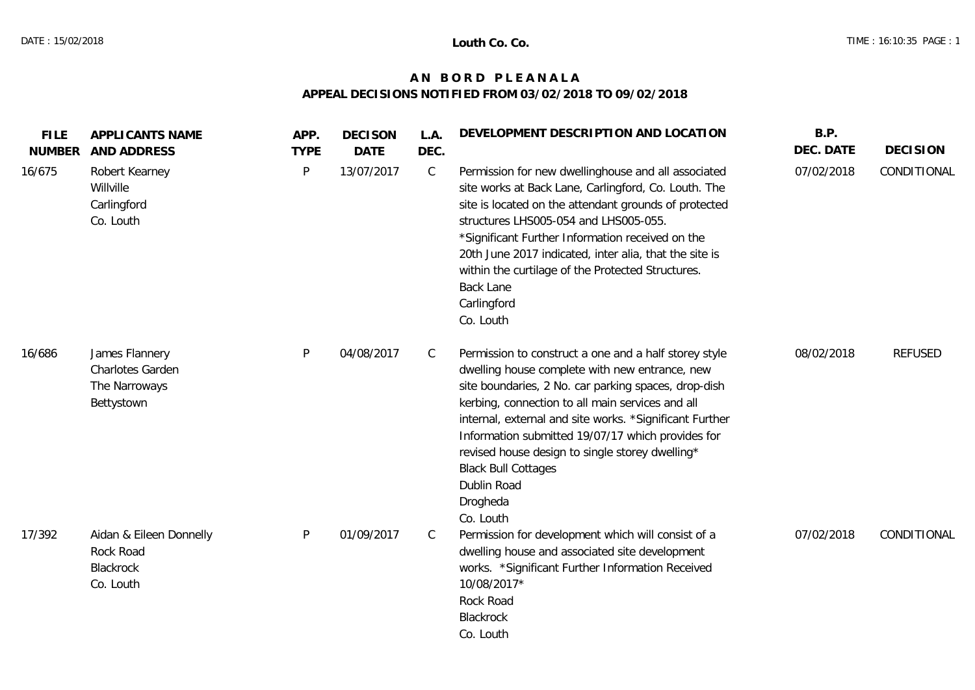## **A N B O R D P L E A N A L A APPEAL DECISIONS NOTIFIED FROM 03/02/2018 TO 09/02/2018**

| <b>FILE</b><br><b>NUMBER</b> | APPLICANTS NAME<br>AND ADDRESS                                        | APP.<br><b>TYPE</b> | <b>DECISON</b><br><b>DATE</b> | L.A.<br>DEC. | DEVELOPMENT DESCRIPTION AND LOCATION                                                                                                                                                                                                                                                                                                                                                                                                                         | B.P.<br>DEC. DATE | <b>DECISION</b> |
|------------------------------|-----------------------------------------------------------------------|---------------------|-------------------------------|--------------|--------------------------------------------------------------------------------------------------------------------------------------------------------------------------------------------------------------------------------------------------------------------------------------------------------------------------------------------------------------------------------------------------------------------------------------------------------------|-------------------|-----------------|
| 16/675                       | Robert Kearney<br>Willville<br>Carlingford<br>Co. Louth               | P                   | 13/07/2017                    | $\mathsf{C}$ | Permission for new dwellinghouse and all associated<br>site works at Back Lane, Carlingford, Co. Louth. The<br>site is located on the attendant grounds of protected<br>structures LHS005-054 and LHS005-055.<br>*Significant Further Information received on the<br>20th June 2017 indicated, inter alia, that the site is<br>within the curtilage of the Protected Structures.<br><b>Back Lane</b><br>Carlingford<br>Co. Louth                             | 07/02/2018        | CONDITIONAL     |
| 16/686                       | James Flannery<br>Charlotes Garden<br>The Narroways<br>Bettystown     | $\mathsf{P}$        | 04/08/2017                    | C            | Permission to construct a one and a half storey style<br>dwelling house complete with new entrance, new<br>site boundaries, 2 No. car parking spaces, drop-dish<br>kerbing, connection to all main services and all<br>internal, external and site works. *Significant Further<br>Information submitted 19/07/17 which provides for<br>revised house design to single storey dwelling*<br><b>Black Bull Cottages</b><br>Dublin Road<br>Drogheda<br>Co. Louth | 08/02/2018        | <b>REFUSED</b>  |
| 17/392                       | Aidan & Eileen Donnelly<br>Rock Road<br><b>Blackrock</b><br>Co. Louth | $\mathsf{P}$        | 01/09/2017                    | C            | Permission for development which will consist of a<br>dwelling house and associated site development<br>works. *Significant Further Information Received<br>10/08/2017*<br>Rock Road<br>Blackrock<br>Co. Louth                                                                                                                                                                                                                                               | 07/02/2018        | CONDITIONAL     |